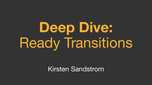# **Deep Dive:**  Ready Transitions

Kirsten Sandstrom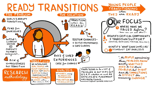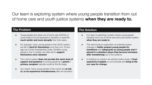Our team is exploring system where young people transition from out of home care and youth justice systems **when they are ready to.**

#### **The Problem The Solution**

- Young people who leave out of home care (OOHC) or youth justice (YJ) are expected to transition to adult life **much earlier and more abruptly** than their peers.
- For example, many young people in the OOHC system are left to **fend for themselves** once they turn 18 and age out of their Guardianship Order. Similarly young people in the YJ system are often left to **support themselves once released**.
- The current system **does not provide the same level of support and guidance** to young people as a **parent / primary caregiver** typically would at this life stage.
- As a result, many young people in this cohort are **at risk of, or do experience homelessness** after the transition.

- Our team is exploring a system where young people transition from out of home care and youth justice system **when they are ready to**.
- This will include an exploration of potential system changes to **better prepare young people for transitions** and **safeguards so young people aren't placed in a situation where they become homeless after transitioning** out of the systems.
- In building our solution we will also build a body of **lived experience insights** to communicate and **bring to life our case for change**.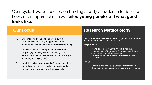Over cycle 1 we've focused on building a body of evidence to describe how current approaches have **failed young people** and **what good looks like.**

## **Our Focus**

- 1. Understanding and unpacking where current approaches have failed young people in target demographic as they transition to **independent living**
- 2. Identifying the critical components of **transition support** (e.g. housing, vocational training, skill development, mental health transition support, support budgeting and paying bills)
- 3. Identifying '**what good looks lik**e' for each transition support component and conducting gap analysis against current approaches in South Australia

## **Research Methodology**

Participants were/will be recruited through our local networks & invited to undertake a 1 hour interview

Target groups

- Young people from South Australia with lived experience of OOHC and/or Youth Justice & have experienced youth homelessness
- Workers with experience in these areas in South Australia

#### Analysis

- Thematic analysis using an inductive framework
- 'Triangulation' to increase the validity of our findings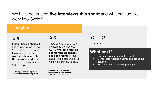## We have conducted **five interviews this sprint** and will continue this work into Cycle 2.

#### **Insights**

# **I didn't have a choice**, I (( ))<br>I didn't<br>had to le

had to leave when I turned 18. I was never prepared, there was no preparation. **I was just chucked into the big wide world** and expected to know how to 'adult' properly.

**- Young person talking about their experience leaving OOHC**

There seems to be a lot of pressure to get kids out ASAP, **whether or not an appropriate placement has been found**. In most cases, these kids breach or reoffend extremely quickly.  $\begin{array}{ccc} \textbf{1} & \textbf{1} & \textbf{1} \\ \textbf{2} & \textbf{2} & \textbf{1} \\ \textbf{3} & \textbf{3} & \textbf{2} \\ \textbf{4} & \textbf{3} & \textbf{3} \\ \textbf{4} & \textbf{4} & \textbf{3} \\ \textbf{4} & \textbf{4} & \textbf{4} \\ \textbf{4} & \textbf{4} & \textbf{4} \\ \textbf{4} & \textbf{4} & \textbf{4} \\ \textbf{4} & \textbf{4} & \textbf{4} \\ \textbf{4} & \textbf{4} & \textbf{4} \\ \textbf$ 

**- Support Worker on their impressions of YJ transitions from talking to young people**

## **What next?**

- Continue to a second cycle of work
- Consolidate research findings and define our solution
- Build solution & influencing strategy